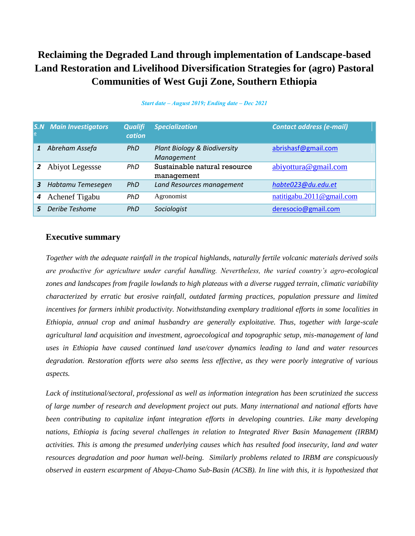# **Reclaiming the Degraded Land through implementation of Landscape-based Land Restoration and Livelihood Diversification Strategies for (agro) Pastoral Communities of West Guji Zone, Southern Ethiopia**

| $\overline{\mathbf{c}}$ | <b>S.N</b> Main Investigators | <b>Qualifi</b><br>cation | <b>Specialization</b>                      | Contact address (e-mail)      |
|-------------------------|-------------------------------|--------------------------|--------------------------------------------|-------------------------------|
|                         | Abreham Assefa                | PhD                      | Plant Biology & Biodiversity<br>Management | abrishasf@gmail.com           |
| $\mathbf{2}$            | Abiyot Legessse               | <b>PhD</b>               | Sustainable natural resource<br>management | abiyottura@gmail.com          |
| 3                       | Habtamu Temesegen             | <b>PhD</b>               | Land Resources management                  | habte023@du.edu.et            |
| 4                       | Achenef Tigabu                | PhD                      | Agronomist                                 | natitigabu. $2011@$ gmail.com |
|                         | Deribe Teshome                | PhD                      | Sociologist                                | deresocio@gmail.com           |

#### *Start date ‒ August 2019; Ending date ‒ Dec 2021*

### **Executive summary**

*Together with the adequate rainfall in the tropical highlands, naturally fertile volcanic materials derived soils are productive for agriculture under careful handling. Nevertheless, the varied country's agro-ecological zones and landscapes from fragile lowlands to high plateaus with a diverse rugged terrain, climatic variability characterized by erratic but erosive rainfall, outdated farming practices, population pressure and limited incentives for farmers inhibit productivity. Notwithstanding exemplary traditional efforts in some localities in Ethiopia, annual crop and animal husbandry are generally exploitative. Thus, together with large-scale agricultural land acquisition and investment, agroecological and topographic setup, mis-management of land uses in Ethiopia have caused continued land use/cover dynamics leading to land and water resources degradation. Restoration efforts were also seems less effective, as they were poorly integrative of various aspects.*

*Lack of institutional/sectoral, professional as well as information integration has been scrutinized the success of large number of research and development project out puts. Many international and national efforts have been contributing to capitalize infant integration efforts in developing countries. Like many developing nations, Ethiopia is facing several challenges in relation to Integrated River Basin Management (IRBM) activities. This is among the presumed underlying causes which has resulted food insecurity, land and water resources degradation and poor human well-being. Similarly problems related to IRBM are conspicuously observed in eastern escarpment of Abaya-Chamo Sub-Basin (ACSB). In line with this, it is hypothesized that*